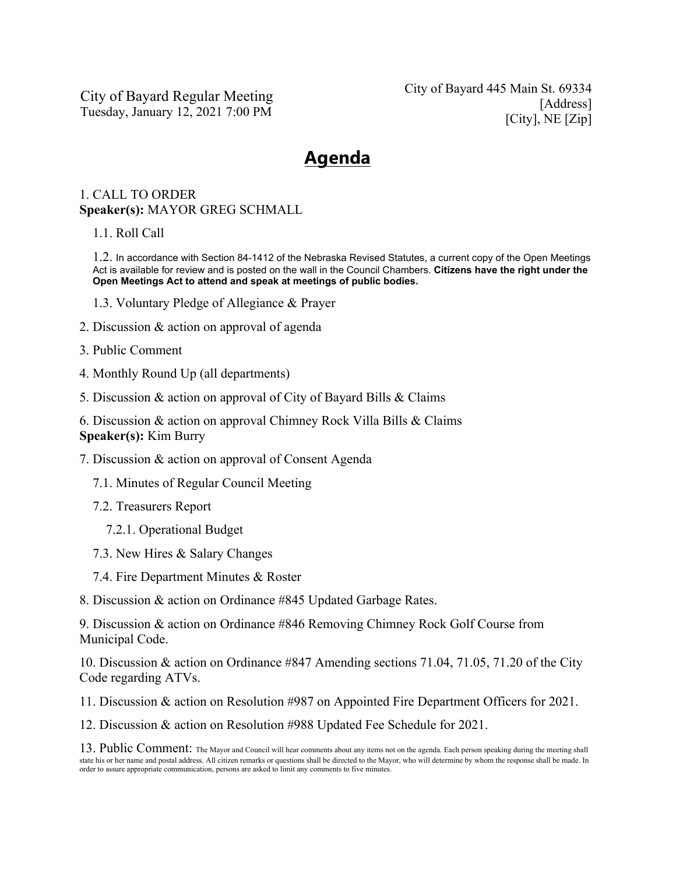City of Bayard Regular Meeting Tuesday, January 12, 2021 7:00 PM

City of Bayard 445 Main St. 69334 [Address] [City], NE [Zip]

## **Agenda**

## 1. CALL TO ORDER **Speaker(s):** MAYOR GREG SCHMALL

1.1. Roll Call

1.2. In accordance with Section 84-1412 of the Nebraska Revised Statutes, a current copy of the Open Meetings Act is available for review and is posted on the wall in the Council Chambers. **Citizens have the right under the Open Meetings Act to attend and speak at meetings of public bodies.**

- 1.3. Voluntary Pledge of Allegiance & Prayer
- 2. Discussion & action on approval of agenda
- 3. Public Comment
- 4. Monthly Round Up (all departments)
- 5. Discussion & action on approval of City of Bayard Bills & Claims
- 6. Discussion & action on approval Chimney Rock Villa Bills & Claims **Speaker(s):** Kim Burry
- 7. Discussion & action on approval of Consent Agenda
	- 7.1. Minutes of Regular Council Meeting
	- 7.2. Treasurers Report
		- 7.2.1. Operational Budget
	- 7.3. New Hires & Salary Changes
	- 7.4. Fire Department Minutes & Roster
- 8. Discussion & action on Ordinance #845 Updated Garbage Rates.

9. Discussion & action on Ordinance #846 Removing Chimney Rock Golf Course from Municipal Code.

10. Discussion & action on Ordinance #847 Amending sections 71.04, 71.05, 71.20 of the City Code regarding ATVs.

11. Discussion & action on Resolution #987 on Appointed Fire Department Officers for 2021.

12. Discussion & action on Resolution #988 Updated Fee Schedule for 2021.

13. Public Comment: The Mayor and Council will hear comments about any items not on the agenda. Each person speaking during the meeting shall state his or her name and postal address. All citizen remarks or questions shall be directed to the Mayor, who will determine by whom the response shall be made. In order to assure appropriate communication, persons are asked to limit any comments to five minutes.